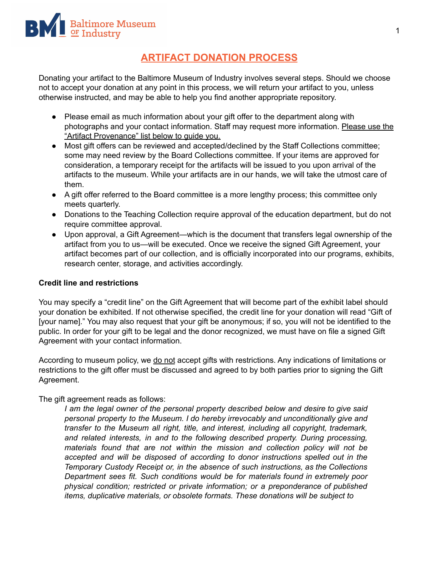## **ARTIFACT DONATION PROCESS**

Donating your artifact to the Baltimore Museum of Industry involves several steps. Should we choose not to accept your donation at any point in this process, we will return your artifact to you, unless otherwise instructed, and may be able to help you find another appropriate repository.

- Please email as much information about your gift offer to the department along with photographs and your contact information. Staff may request more information. Please use the "Artifact Provenance" list below to guide you.
- Most gift offers can be reviewed and accepted/declined by the Staff Collections committee; some may need review by the Board Collections committee. If your items are approved for consideration, a temporary receipt for the artifacts will be issued to you upon arrival of the artifacts to the museum. While your artifacts are in our hands, we will take the utmost care of them.
- A gift offer referred to the Board committee is a more lengthy process; this committee only meets quarterly.
- Donations to the Teaching Collection require approval of the education department, but do not require committee approval.
- Upon approval, a Gift Agreement—which is the document that transfers legal ownership of the artifact from you to us—will be executed. Once we receive the signed Gift Agreement, your artifact becomes part of our collection, and is officially incorporated into our programs, exhibits, research center, storage, and activities accordingly.

## **Credit line and restrictions**

You may specify a "credit line" on the Gift Agreement that will become part of the exhibit label should your donation be exhibited. If not otherwise specified, the credit line for your donation will read "Gift of [your name]." You may also request that your gift be anonymous; if so, you will not be identified to the public. In order for your gift to be legal and the donor recognized, we must have on file a signed Gift Agreement with your contact information.

According to museum policy, we do not accept gifts with restrictions. Any indications of limitations or restrictions to the gift offer must be discussed and agreed to by both parties prior to signing the Gift Agreement.

## The gift agreement reads as follows:

*I am the legal owner of the personal property described below and desire to give said personal property to the Museum. I do hereby irrevocably and unconditionally give and transfer to the Museum all right, title, and interest, including all copyright, trademark, and related interests, in and to the following described property. During processing, materials found that are not within the mission and collection policy will not be accepted and will be disposed of according to donor instructions spelled out in the Temporary Custody Receipt or, in the absence of such instructions, as the Collections Department sees fit. Such conditions would be for materials found in extremely poor physical condition; restricted or private information; or a preponderance of published items, duplicative materials, or obsolete formats. These donations will be subject to*